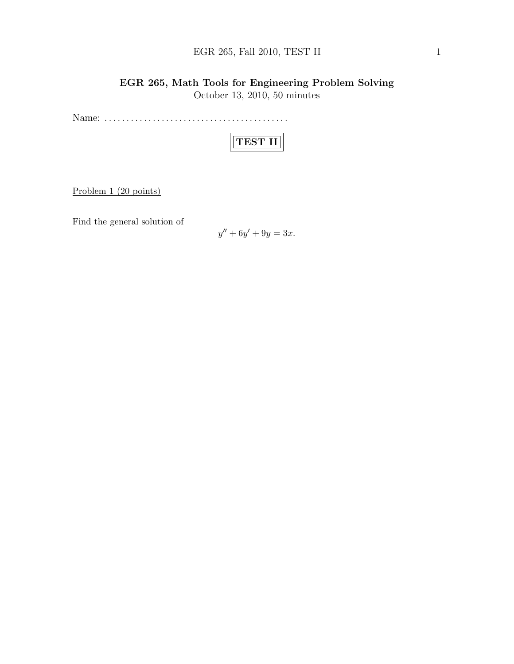## EGR 265, Fall 2010, TEST II  $1$

## EGR 265, Math Tools for Engineering Problem Solving October 13, 2010, 50 minutes

Name: . . . . . . . . . . . . . . . . . . . . . . . . . . . . . . . . . . . . . . . . . .

|--|

Problem 1 (20 points)

Find the general solution of

$$
y'' + 6y' + 9y = 3x.
$$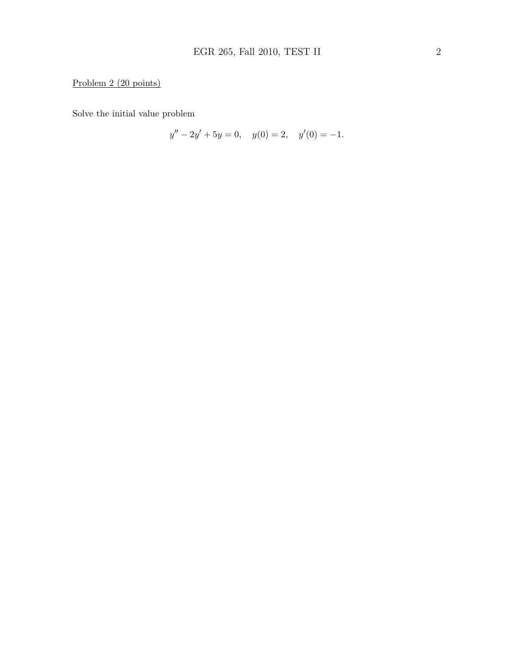# Problem 2 (20 points)

Solve the initial value problem

$$
y'' - 2y' + 5y = 0, \quad y(0) = 2, \quad y'(0) = -1.
$$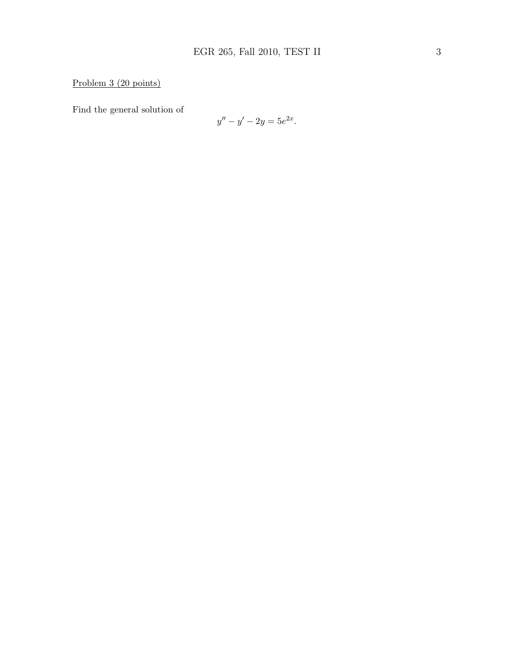Problem 3 (20 points)

Find the general solution of

$$
y'' - y' - 2y = 5e^{2x}.
$$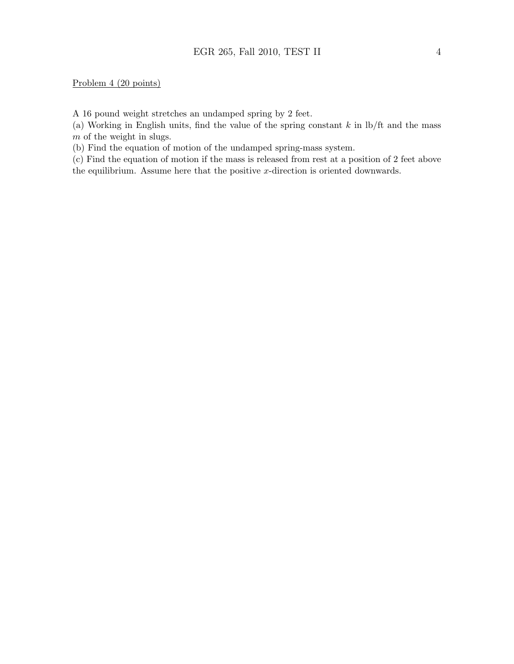#### Problem 4 (20 points)

A 16 pound weight stretches an undamped spring by 2 feet.

(a) Working in English units, find the value of the spring constant  $k$  in  $\frac{1}{k}$  and the mass m of the weight in slugs.

(b) Find the equation of motion of the undamped spring-mass system.

(c) Find the equation of motion if the mass is released from rest at a position of 2 feet above the equilibrium. Assume here that the positive  $x$ -direction is oriented downwards.